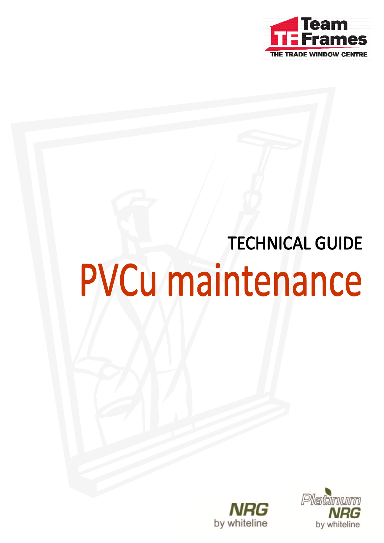

## **TECHNICAL GUIDE PVCu maintenance**



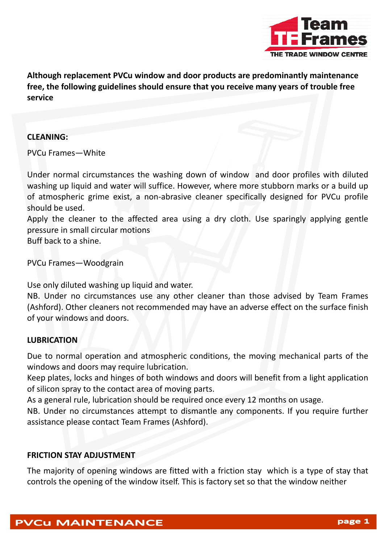

**Although replacement PVCu window and door products are predominantly maintenance free, the following guidelines should ensure that you receive many years of trouble free service**

## **CLEANING:**

PVCu Frames—White

Under normal circumstances the washing down of window and door profiles with diluted washing up liquid and water will suffice. However, where more stubborn marks or a build up of atmospheric grime exist, a non‐abrasive cleaner specifically designed for PVCu profile should be used.

Apply the cleaner to the affected area using a dry cloth. Use sparingly applying gentle pressure in small circular motions Buff back to a shine.

PVCu Frames—Woodgrain

Use only diluted washing up liquid and water.

NB. Under no circumstances use any other cleaner than those advised by Team Frames (Ashford). Other cleaners not recommended may have an adverse effect on the surface finish of your windows and doors.

## **LUBRICATION**

Due to normal operation and atmospheric conditions, the moving mechanical parts of the windows and doors may require lubrication.

Keep plates, locks and hinges of both windows and doors will benefit from a light application of silicon spray to the contact area of moving parts.

As a general rule, lubrication should be required once every 12 months on usage.

NB. Under no circumstances attempt to dismantle any components. If you require further assistance please contact Team Frames (Ashford).

## **FRICTION STAY ADJUSTMENT**

The majority of opening windows are fitted with a friction stay which is a type of stay that controls the opening of the window itself. This is factory set so that the window neither